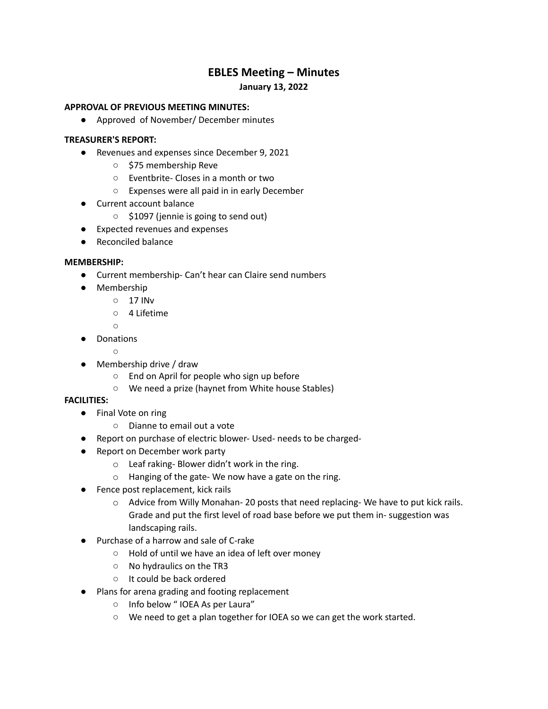# **EBLES Meeting – Minutes**

# **January 13, 2022**

## **APPROVAL OF PREVIOUS MEETING MINUTES:**

● Approved of November/ December minutes

## **TREASURER'S REPORT:**

- Revenues and expenses since December 9, 2021
	- \$75 membership Reve
	- Eventbrite- Closes in a month or two
	- Expenses were all paid in in early December
- Current account balance
	- \$1097 (jennie is going to send out)
- Expected revenues and expenses
- Reconciled balance

### **MEMBERSHIP:**

- Current membership- Can't hear can Claire send numbers
- Membership
	- 17 INv
	- 4 Lifetime

 $\bigcap$ 

- Donations  $\cap$
- Membership drive / draw
	- End on April for people who sign up before
	- We need a prize (haynet from White house Stables)

#### **FACILITIES:**

- Final Vote on ring
	- Dianne to email out a vote
- Report on purchase of electric blower- Used- needs to be charged-
- Report on December work party
	- o Leaf raking- Blower didn't work in the ring.
	- o Hanging of the gate- We now have a gate on the ring.
- Fence post replacement, kick rails
	- o Advice from Willy Monahan- 20 posts that need replacing- We have to put kick rails. Grade and put the first level of road base before we put them in- suggestion was landscaping rails.
- Purchase of a harrow and sale of C-rake
	- Hold of until we have an idea of left over money
	- No hydraulics on the TR3
	- It could be back ordered
- Plans for arena grading and footing replacement
	- Info below " IOEA As per Laura"
	- We need to get a plan together for IOEA so we can get the work started.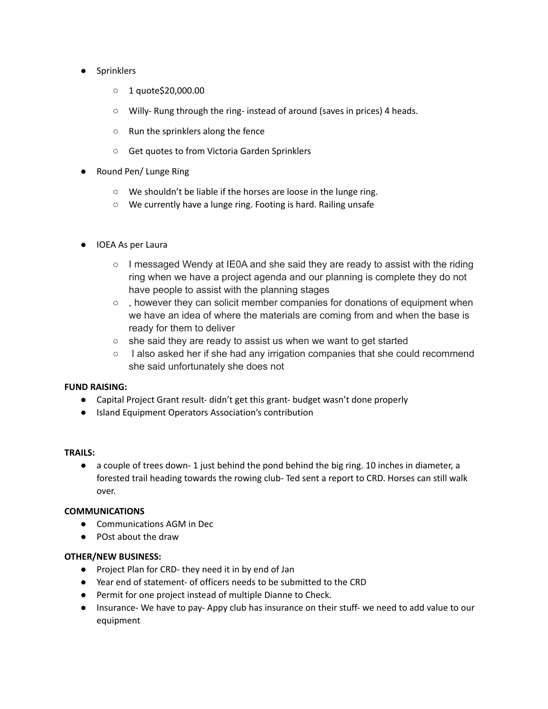- Sprinklers
	- 1 quote\$20,000.00
	- Willy- Rung through the ring- instead of around (saves in prices) 4 heads.
	- Run the sprinklers along the fence
	- Get quotes to from Victoria Garden Sprinklers
- Round Pen/ Lunge Ring
	- We shouldn't be liable if the horses are loose in the lunge ring.
	- We currently have a lunge ring. Footing is hard. Railing unsafe
- IOEA As per Laura
	- $\circ$  I messaged Wendy at IE0A and she said they are ready to assist with the riding ring when we have a project agenda and our planning is complete they do not have people to assist with the planning stages
	- $\circ$ , however they can solicit member companies for donations of equipment when we have an idea of where the materials are coming from and when the base is ready for them to deliver
	- she said they are ready to assist us when we want to get started
	- I also asked her if she had any irrigation companies that she could recommend she said unfortunately she does not

# **FUND RAISING:**

- Capital Project Grant result- didn't get this grant- budget wasn't done properly
- Island Equipment Operators Association's contribution

# **TRAILS:**

 $\bullet$  a couple of trees down-1 just behind the pond behind the big ring. 10 inches in diameter, a forested trail heading towards the rowing club- Ted sent a report to CRD. Horses can still walk over.

# **COMMUNICATIONS**

- Communications AGM in Dec
- POst about the draw

# **OTHER/NEW BUSINESS:**

- Project Plan for CRD- they need it in by end of Jan
- Year end of statement- of officers needs to be submitted to the CRD
- Permit for one project instead of multiple Dianne to Check.
- Insurance- We have to pay- Appy club has insurance on their stuff- we need to add value to our equipment